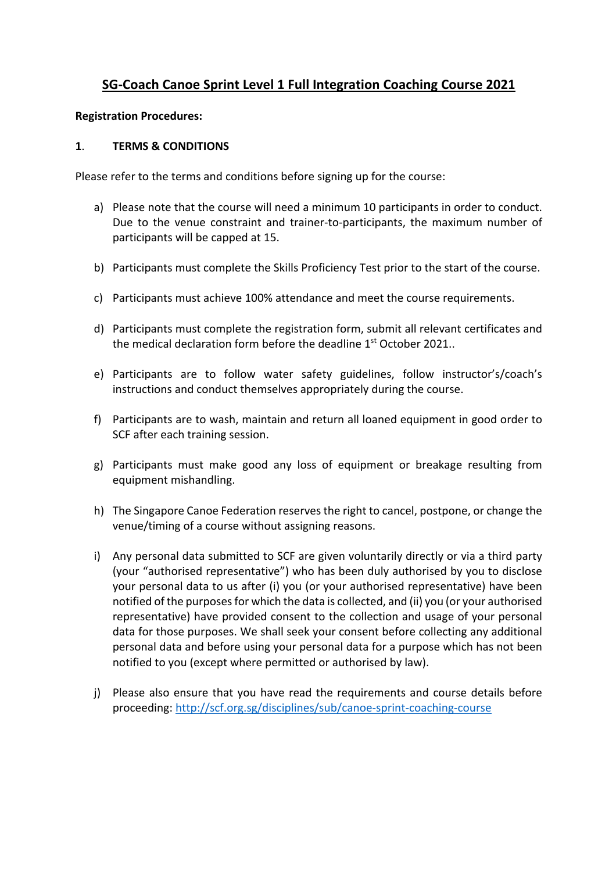## **SG-Coach Canoe Sprint Level 1 Full Integration Coaching Course 2021**

### **Registration Procedures:**

### **1**. **TERMS & CONDITIONS**

Please refer to the terms and conditions before signing up for the course:

- a) Please note that the course will need a minimum 10 participants in order to conduct. Due to the venue constraint and trainer-to-participants, the maximum number of participants will be capped at 15.
- b) Participants must complete the Skills Proficiency Test prior to the start of the course.
- c) Participants must achieve 100% attendance and meet the course requirements.
- d) Participants must complete the registration form, submit all relevant certificates and the medical declaration form before the deadline  $1<sup>st</sup>$  October 2021..
- e) Participants are to follow water safety guidelines, follow instructor's/coach's instructions and conduct themselves appropriately during the course.
- f) Participants are to wash, maintain and return all loaned equipment in good order to SCF after each training session.
- g) Participants must make good any loss of equipment or breakage resulting from equipment mishandling.
- h) The Singapore Canoe Federation reserves the right to cancel, postpone, or change the venue/timing of a course without assigning reasons.
- i) Any personal data submitted to SCF are given voluntarily directly or via a third party (your "authorised representative") who has been duly authorised by you to disclose your personal data to us after (i) you (or your authorised representative) have been notified of the purposes for which the data is collected, and (ii) you (or your authorised representative) have provided consent to the collection and usage of your personal data for those purposes. We shall seek your consent before collecting any additional personal data and before using your personal data for a purpose which has not been notified to you (except where permitted or authorised by law).
- j) Please also ensure that you have read the requirements and course details before proceeding: http://scf.org.sg/disciplines/sub/canoe-sprint-coaching-course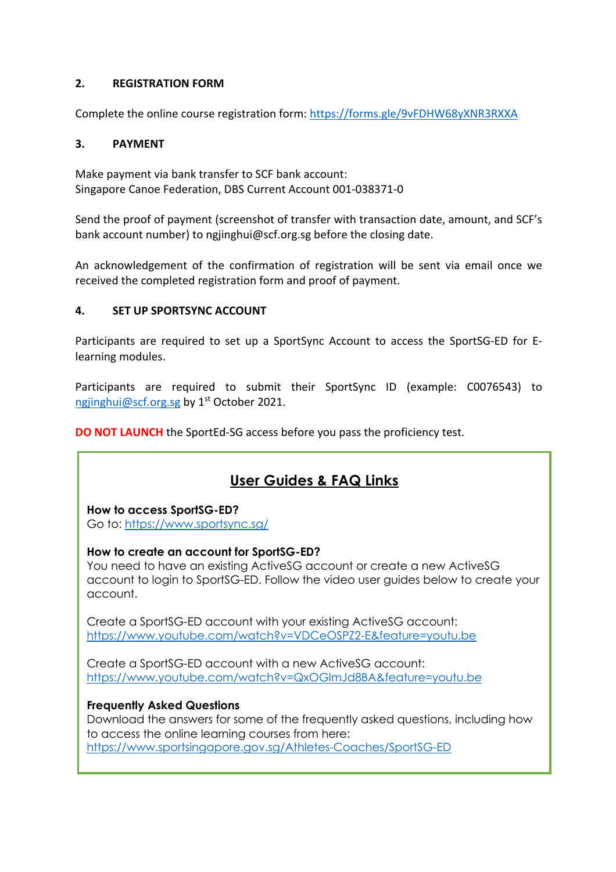### **2. REGISTRATION FORM**

Complete the online course registration form: https://forms.gle/9vFDHW68yXNR3RXXA

### **3. PAYMENT**

Make payment via bank transfer to SCF bank account: Singapore Canoe Federation, DBS Current Account 001-038371-0

Send the proof of payment (screenshot of transfer with transaction date, amount, and SCF's bank account number) to ngjinghui@scf.org.sg before the closing date.

An acknowledgement of the confirmation of registration will be sent via email once we received the completed registration form and proof of payment.

### **4. SET UP SPORTSYNC ACCOUNT**

Participants are required to set up a SportSync Account to access the SportSG-ED for Elearning modules.

Participants are required to submit their SportSync ID (example: C0076543) to ngjinghui@scf.org.sg by 1<sup>st</sup> October 2021.

**DO NOT LAUNCH** the SportEd-SG access before you pass the proficiency test.

# **User Guides & FAQ Links**

### **How to access SportSG-ED?**

Go to: https://www.sportsync.sg/

### **How to create an account for SportSG-ED?**

You need to have an existing ActiveSG account or create a new ActiveSG account to login to SportSG-ED. Follow the video user guides below to create your account.

Create a SportSG-ED account with your existing ActiveSG account: https://www.youtube.com/watch?v=VDCeOSPZ2-E&feature=youtu.be

Create a SportSG-ED account with a new ActiveSG account: https://www.youtube.com/watch?v=QxOGlmJd8BA&feature=youtu.be

## **Frequently Asked Questions**

Download the answers for some of the frequently asked questions, including how to access the online learning courses from here: https://www.sportsingapore.gov.sg/Athletes-Coaches/SportSG-ED